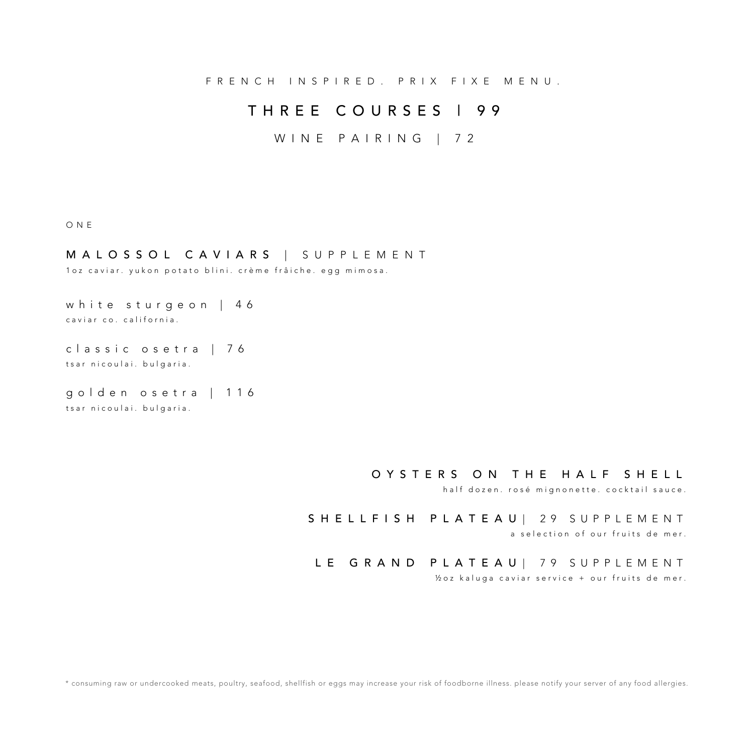FRENCH INSPIRED. PRIX FIXE MENU.

# THREE COURSES | 9 9

# WINE PAIRING | 72

#### ONE

## MALOSSOL CAVIARS | SUPPLEMENT

1oz caviar. yukon potato blini. crème frâiche. egg mimosa.

white sturgeon | 4 6 caviar co. california.

classic os e tra | 7 6 tsar nicoulai. bulgaria.

golden osetra | 1 1 6 tsar nicoulai. bulgaria.

### OYSTERS ON THE HALF SHELL

half dozen. rosé mignonette. cocktail sauce.

# SHELLFISH PLATEAU | 29 SUPPLEMENT

a selection of our fruits de mer.

### LE GRAND PLATEAU| 79 SUPPLEMENT

½ oz kaluga caviar service + our fruits de mer .

\* consuming raw or undercooked meats, poultry, seafood, shellfish or eggs may increase your risk of foodborne illness. please notify your server of any food allergies.